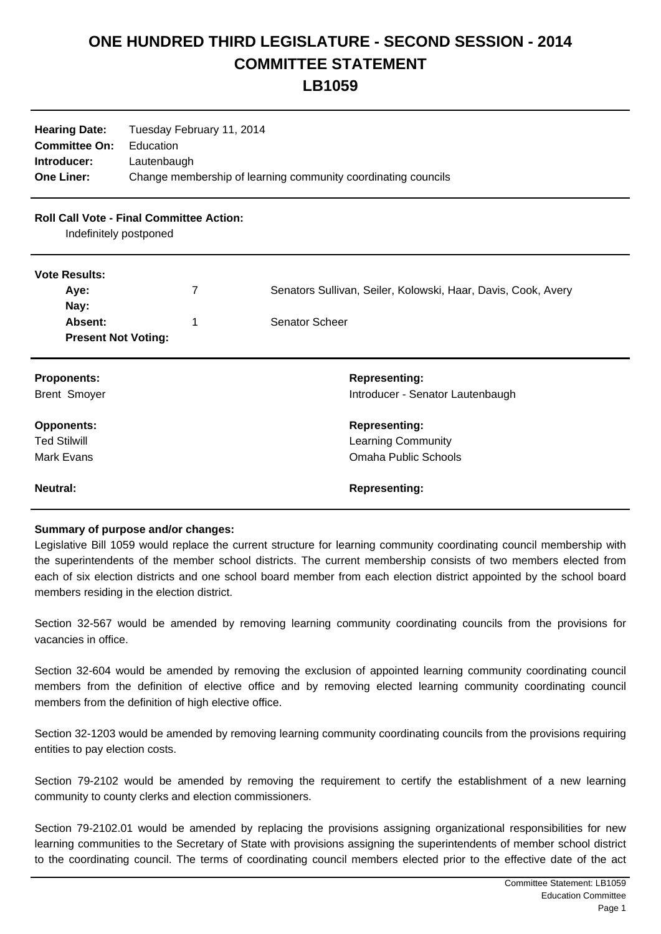## **ONE HUNDRED THIRD LEGISLATURE - SECOND SESSION - 2014 COMMITTEE STATEMENT**

**LB1059**

| <b>Hearing Date:</b><br><b>Committee On:</b><br>Introducer:<br><b>One Liner:</b> | Tuesday February 11, 2014<br>Education<br>Lautenbaugh | Change membership of learning community coordinating councils |
|----------------------------------------------------------------------------------|-------------------------------------------------------|---------------------------------------------------------------|
| <b>Roll Call Vote - Final Committee Action:</b><br>Indefinitely postponed        |                                                       |                                                               |
| <b>Vote Results:</b>                                                             |                                                       |                                                               |
| Aye:                                                                             | 7                                                     | Senators Sullivan, Seiler, Kolowski, Haar, Davis, Cook, Avery |
| Nay:<br>Absent:                                                                  |                                                       | Senator Scheer                                                |
| <b>Present Not Voting:</b>                                                       | 1                                                     |                                                               |
| <b>Proponents:</b>                                                               |                                                       | <b>Representing:</b>                                          |
| <b>Brent Smoyer</b>                                                              |                                                       | Introducer - Senator Lautenbaugh                              |
| <b>Opponents:</b>                                                                |                                                       | <b>Representing:</b>                                          |
| <b>Ted Stilwill</b>                                                              |                                                       | <b>Learning Community</b>                                     |
| <b>Mark Evans</b>                                                                |                                                       | <b>Omaha Public Schools</b>                                   |
| <b>Neutral:</b>                                                                  |                                                       | <b>Representing:</b>                                          |

## **Summary of purpose and/or changes:**

Legislative Bill 1059 would replace the current structure for learning community coordinating council membership with the superintendents of the member school districts. The current membership consists of two members elected from each of six election districts and one school board member from each election district appointed by the school board members residing in the election district.

Section 32-567 would be amended by removing learning community coordinating councils from the provisions for vacancies in office.

Section 32-604 would be amended by removing the exclusion of appointed learning community coordinating council members from the definition of elective office and by removing elected learning community coordinating council members from the definition of high elective office.

Section 32-1203 would be amended by removing learning community coordinating councils from the provisions requiring entities to pay election costs.

Section 79-2102 would be amended by removing the requirement to certify the establishment of a new learning community to county clerks and election commissioners.

Section 79-2102.01 would be amended by replacing the provisions assigning organizational responsibilities for new learning communities to the Secretary of State with provisions assigning the superintendents of member school district to the coordinating council. The terms of coordinating council members elected prior to the effective date of the act